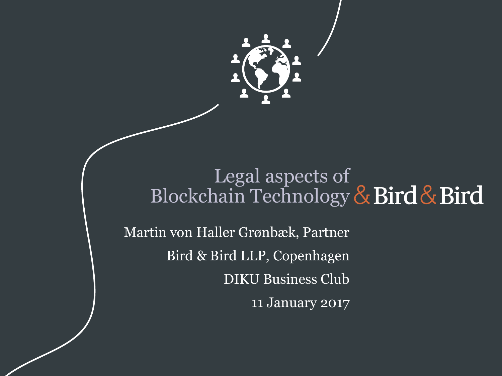

#### Legal aspects of Blockchain Technology

Martin von Haller Grønbæk, Partner Bird & Bird LLP, Copenhagen DIKU Business Club 11 January 2017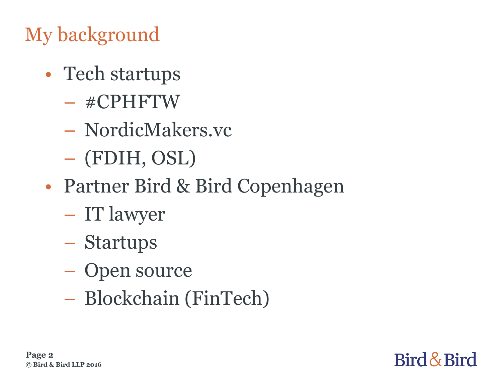### My background

- Tech startups
	- #CPHFTW
	- NordicMakers.vc
	- (FDIH, OSL)
- Partner Bird & Bird Copenhagen
	- IT lawyer
	- Startups
	- Open source
	- Blockchain (FinTech)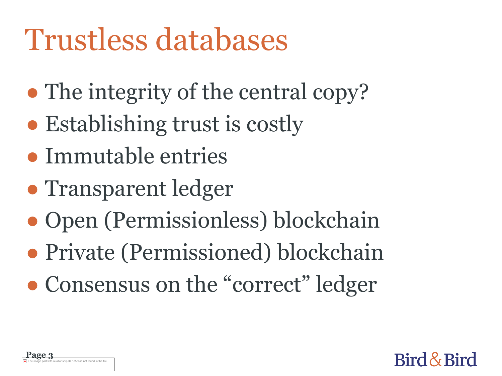# Trustless databases

- The integrity of the central copy?
- Establishing trust is costly
- Immutable entries
- Transparent ledger
- Open (Permissionless) blockchain
- Private (Permissioned) blockchain
- Consensus on the "correct" ledger

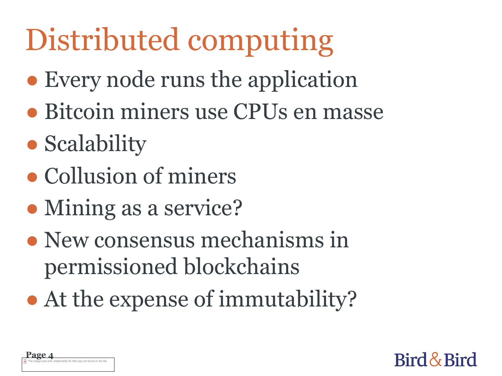# Distributed computing

- Every node runs the application
- Bitcoin miners use CPUs en masse
- Scalability
- Collusion of miners
- Mining as a service?
- New consensus mechanisms in permissioned blockchains
- At the expense of immutability?

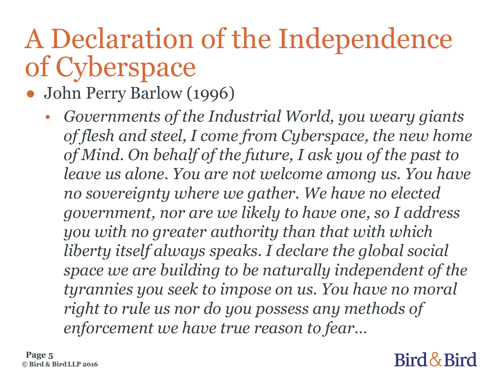## A Declaration of the Independence of Cyberspace

- John Perry Barlow (1996)
	- *Governments of the Industrial World, you weary giants of flesh and steel, I come from Cyberspace, the new home of Mind. On behalf of the future, I ask you of the past to leave us alone. You are not welcome among us. You have no sovereignty where we gather. We have no elected government, nor are we likely to have one, so I address you with no greater authority than that with which liberty itself always speaks. I declare the global social space we are building to be naturally independent of the tyrannies you seek to impose on us. You have no moral right to rule us nor do you possess any methods of enforcement we have true reason to fear…*

**Page 5**© Bird & Bird LLP 2016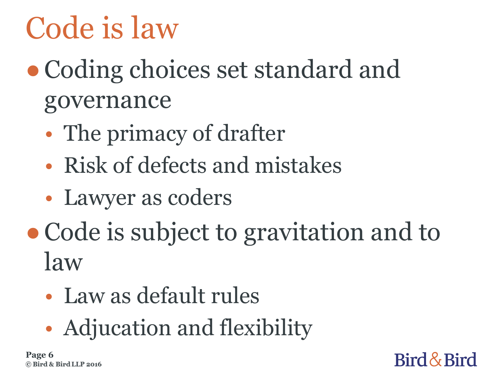# Code is law

- Coding choices set standard and governance
	- The primacy of drafter
	- Risk of defects and mistakes
	- Lawyer as coders
- Code is subject to gravitation and to law

Bird & Bird

- Law as default rules
- Adjucation and flexibility

**Page 6**© Bird & Bird LLP 2016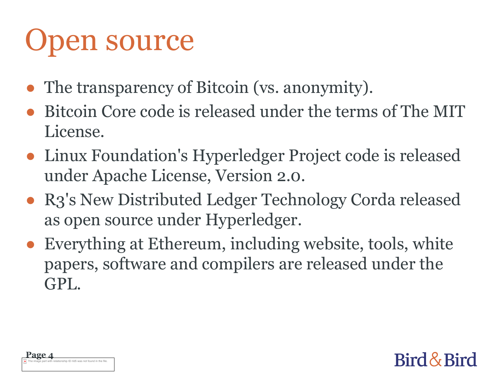# Open source

- The transparency of Bitcoin (vs. anonymity).
- Bitcoin Core code is released under the terms of The MIT License.
- Linux Foundation's Hyperledger Project code is released under Apache License, Version 2.0.
- R3's New Distributed Ledger Technology Corda released as open source under Hyperledger.
- Everything at Ethereum, including website, tools, white papers, software and compilers are released under the GPL.

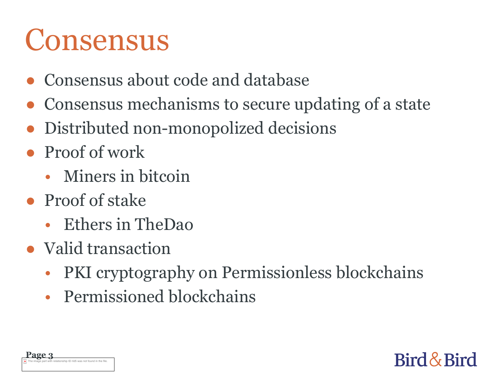## Consensus

- Consensus about code and database
- Consensus mechanisms to secure updating of a state
- Distributed non-monopolized decisions
- Proof of work
	- Miners in bitcoin
- Proof of stake
	- Ethers in TheDao
- Valid transaction
	- PKI cryptography on Permissionless blockchains

Bird & Bird

• Permissioned blockchains

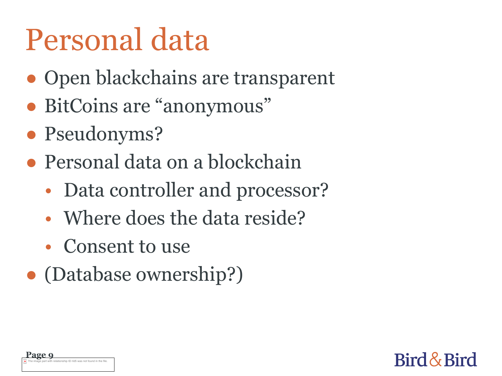# Personal data

- Open blackchains are transparent
- BitCoins are "anonymous"
- Pseudonyms?
- Personal data on a blockchain
	- Data controller and processor?

- Where does the data reside?
- Consent to use
- (Database ownership?)

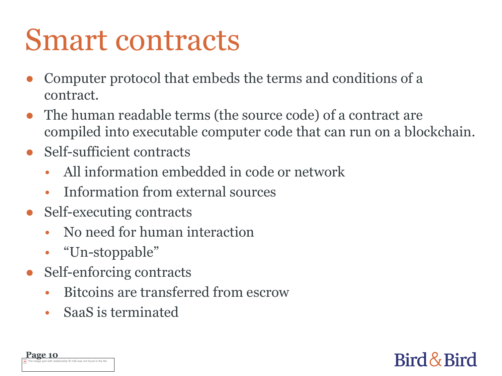## Smart contracts

- Computer protocol that embeds the terms and conditions of a contract.
- The human readable terms (the source code) of a contract are compiled into executable computer code that can run on a blockchain.
- Self-sufficient contracts
	- All information embedded in code or network
	- Information from external sources
- Self-executing contracts
	- No need for human interaction
	- "Un-stoppable"
- Self-enforcing contracts
	- Bitcoins are transferred from escrow
	- SaaS is terminated

| Page 10                                                             |  |
|---------------------------------------------------------------------|--|
| The image part with relationship ID rld5 was not found in the file. |  |

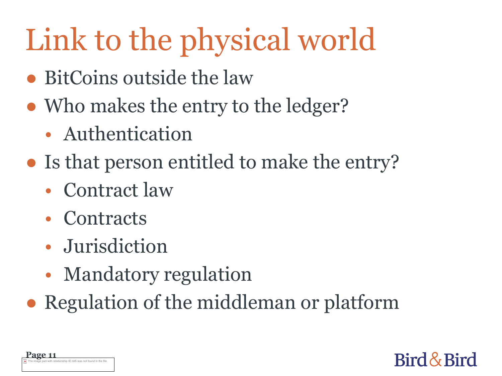# Link to the physical world

- BitCoins outside the law
- Who makes the entry to the ledger?
	- Authentication
- Is that person entitled to make the entry?
	- Contract law
	- Contracts
	- Jurisdiction
	- Mandatory regulation
- Regulation of the middleman or platform

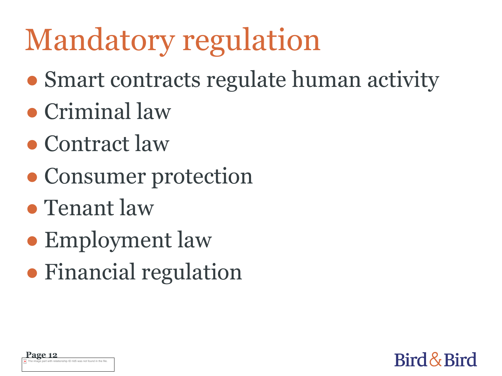# Mandatory regulation

● Smart contracts regulate human activity

- Criminal law
- Contract law
- Consumer protection
- Tenant law
- Employment law
- Financial regulation

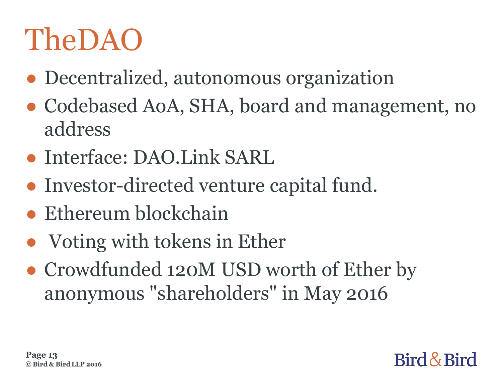# TheDAO

- Decentralized, autonomous organization
- Codebased AoA, SHA, board and management, no address
- Interface: DAO.Link SARL
- Investor-directed venture capital fund.
- Ethereum blockchain
- Voting with tokens in Ether
- Crowdfunded 120M USD worth of Ether by anonymous "shareholders" in May 2016

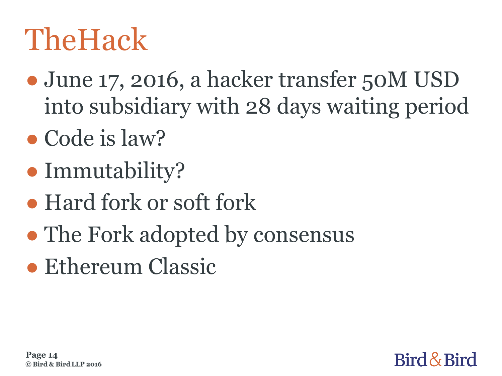# **TheHack**

• June 17, 2016, a hacker transfer 50M USD into subsidiary with 28 days waiting period

Bird & Bird

- Code is law?
- Immutability?
- Hard fork or soft fork
- The Fork adopted by consensus
- Ethereum Classic

**Page 14**© Bird & Bird LLP 2016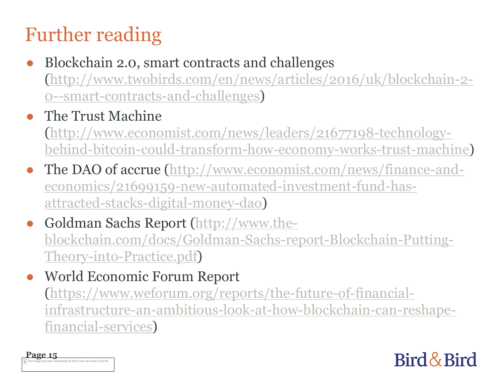### Further reading

Blockchain 2.0, smart contracts and challenges (http://www.twobirds.com/en/news/articles/2016/uk/blockchain-2- 0--smart-contracts-and-challenges)

#### The Trust Machine

(http://www.economist.com/news/leaders/21677198-technologybehind-bitcoin-could-transform-how-economy-works-trust-machine)

- The DAO of accrue (http://www.economist.com/news/finance-andeconomics/21699159-new-automated-investment-fund-hasattracted-stacks-digital-money-dao)
- Goldman Sachs Report (http://www.theblockchain.com/docs/Goldman-Sachs-report-Blockchain-Putting-Theory-into-Practice.pdf)
- World Economic Forum Report (https://www.weforum.org/reports/the-future-of-financialinfrastructure-an-ambitious-look-at-how-blockchain-can-reshapefinancial-services)